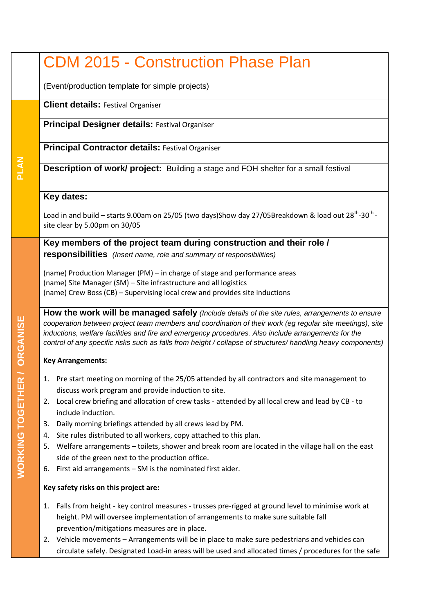## CDM 2015 - Construction Phase Plan

(Event/production template for simple projects)

**Client details:** Festival Organiser

**Principal Designer details:** Festival Organiser

**Principal Contractor details:** Festival Organiser

**Description of work/ project:** Building a stage and FOH shelter for a small festival

## **Key dates:**

Load in and build – starts 9.00am on 25/05 (two days)Show day 27/05Breakdown & load out 28<sup>th</sup>-30<sup>th</sup>site clear by 5.00pm on 30/05

**Key members of the project team during construction and their role / responsibilities** *(Insert name, role and summary of responsibilities)*

(name) Production Manager (PM) – in charge of stage and performance areas (name) Site Manager (SM) – Site infrastructure and all logistics (name) Crew Boss (CB) – Supervising local crew and provides site inductions

**How the work will be managed safely** *(Include details of the site rules, arrangements to ensure cooperation between project team members and coordination of their work (eg regular site meetings), site inductions, welfare facilities and fire and emergency procedures. Also include arrangements for the control of any specific risks such as falls from height / collapse of structures/ handling heavy components)* 

## **Key Arrangements:**

- 1. Pre start meeting on morning of the 25/05 attended by all contractors and site management to discuss work program and provide induction to site.
- 2. Local crew briefing and allocation of crew tasks attended by all local crew and lead by CB to include induction.
- 3. Daily morning briefings attended by all crews lead by PM.
- 4. Site rules distributed to all workers, copy attached to this plan.
- 5. Welfare arrangements toilets, shower and break room are located in the village hall on the east side of the green next to the production office.
- 6. First aid arrangements SM is the nominated first aider.

## **Key safety risks on this project are:**

- 1. Falls from height key control measures trusses pre-rigged at ground level to minimise work at height. PM will oversee implementation of arrangements to make sure suitable fall prevention/mitigations measures are in place.
- 2. Vehicle movements Arrangements will be in place to make sure pedestrians and vehicles can circulate safely. Designated Load-in areas will be used and allocated times / procedures for the safe

**PLAN**